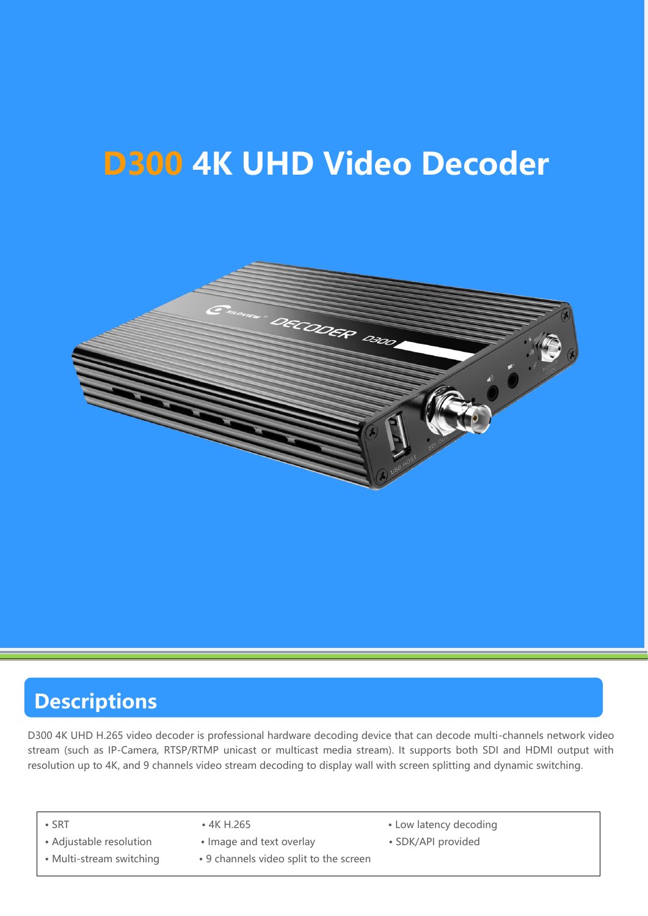# **D300 4K UHD Video Decoder**



### **Descriptions**

D300 4K UHD H.265 video decoder is professional hardware decoding device that can decode multi-channels network video stream (such as IP-Camera, RTSP/RTMP unicast or multicast media stream). It supports both SDI and HDMI output with resolution up to 4K, and 9 channels video stream decoding to display wall with screen splitting and dynamic switching.

- -
- 
- 
- **·** Adjustable resolution **·** Image and text overlay **·** SDK/API provided
- **·** Multi-stream switching **·** 9 channels video split to the screen
- **·** SRT **·** 4K H.265 **·** Low latency decoding
	-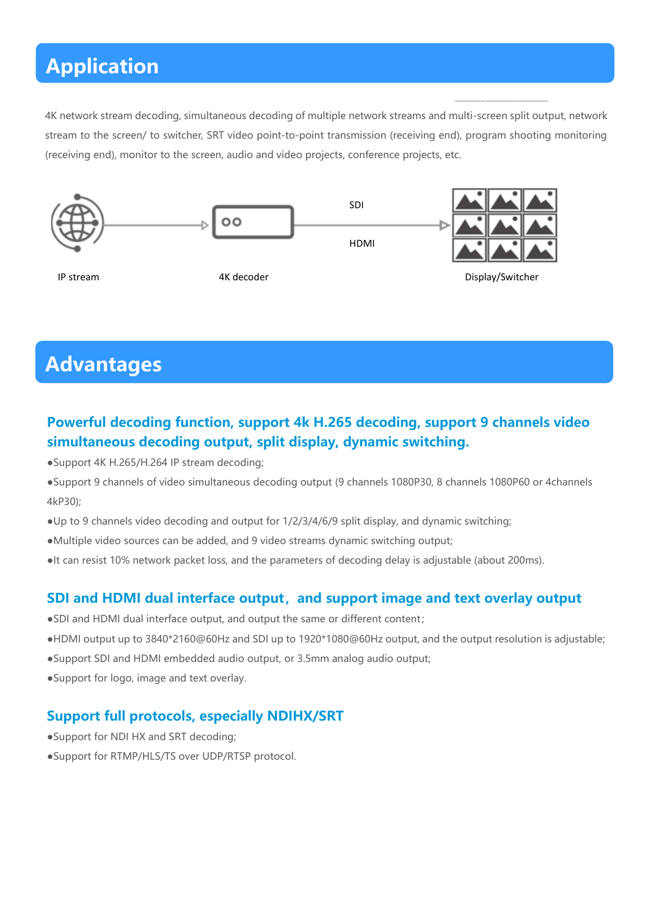### **Application**

4K network stream decoding, simultaneous decoding of multiple network streams and multi-screen split output, network stream to the screen/ to switcher, SRT video point-to-point transmission (receiving end), program shooting monitoring (receiving end), monitor to the screen, audio and video projects, conference projects, etc.



## **Advantages**

#### **Powerful decoding function, support 4k H.265 decoding, support 9 channels video simultaneous decoding output, split display, dynamic switching.**

- ●Support 4K H.265/H.264 IP stream decoding;
- ●Support 9 channels of video simultaneous decoding output (9 channels 1080P30, 8 channels 1080P60 or 4channels 4kP30);
- ●Up to 9 channels video decoding and output for 1/2/3/4/6/9 split display, and dynamic switching;
- ●Multiple video sources can be added, and 9 video streams dynamic switching output;
- ●It can resist 10% network packet loss, and the parameters of decoding delay is adjustable (about 200ms).

#### **SDI and HDMI dual interface output,and support image and text overlay output**

- ●SDI and HDMI dual interface output, and output the same or different content;
- ●HDMI output up to 3840\*2160@60Hz and SDI up to 1920\*1080@60Hz output, and the output resolution is adjustable;
- ●Support SDI and HDMI embedded audio output, or 3.5mm analog audio output;
- ●Support for logo, image and text overlay.

#### **Support full protocols, especially NDIHX/SRT**

- ●Support for NDI HX and SRT decoding;
- ●Support for RTMP/HLS/TS over UDP/RTSP protocol.